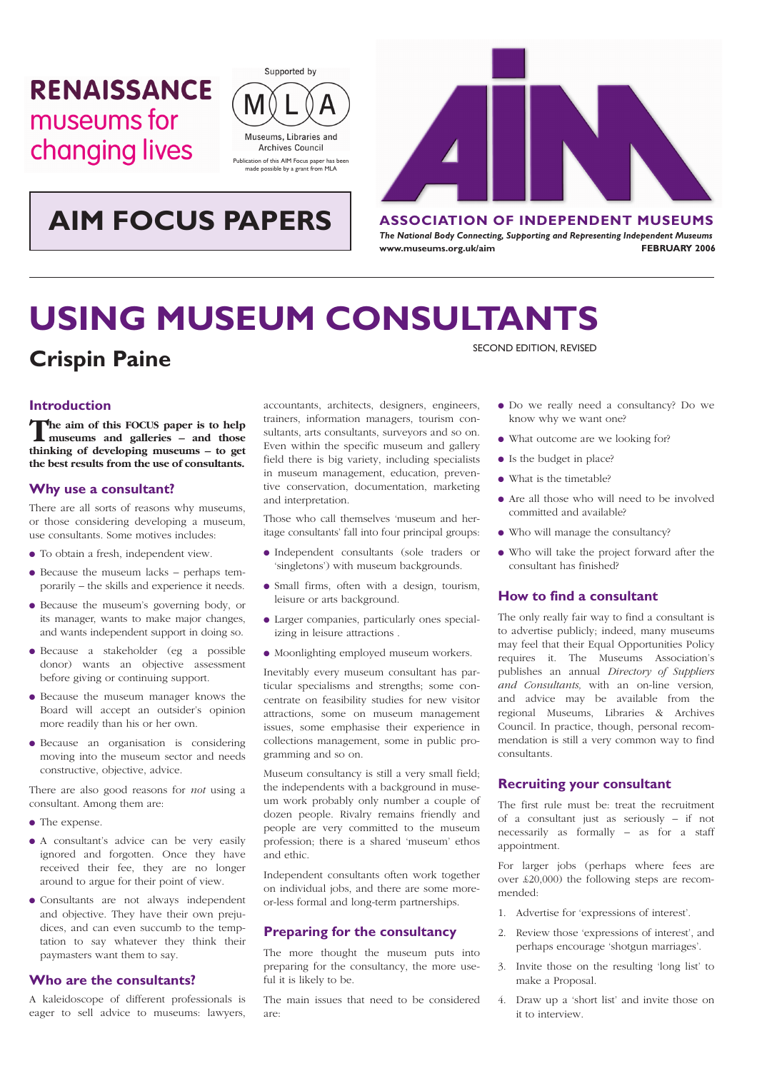# **RENAISSANCE** museums for changing lives







*The National Body Connecting, Supporting and Representing Independent Museums* www.museums.org.uk/aim extended to the **FEBRUARY 2006** 

# **USING MUSEUM CONSULTANTS**

# **Crispin Paine**

# **Introduction**

**The aim of this FOCUS paper is to help museums and galleries – and those thinking of developing museums – to get the best results from the use of consultants.**

## **Why use a consultant?**

There are all sorts of reasons why museums, or those considering developing a museum, use consultants. Some motives includes:

- To obtain a fresh, independent view.
- Because the museum lacks perhaps temporarily – the skills and experience it needs.
- Because the museum's governing body, or its manager, wants to make major changes, and wants independent support in doing so.
- Because a stakeholder (eg a possible donor) wants an objective assessment before giving or continuing support.
- Because the museum manager knows the Board will accept an outsider's opinion more readily than his or her own.
- Because an organisation is considering moving into the museum sector and needs constructive, objective, advice.

There are also good reasons for *not* using a consultant. Among them are:

- The expense.
- A consultant's advice can be very easily ignored and forgotten. Once they have received their fee, they are no longer around to argue for their point of view.
- Consultants are not always independent and objective. They have their own prejudices, and can even succumb to the temptation to say whatever they think their paymasters want them to say.

## **Who are the consultants?**

A kaleidoscope of different professionals is eager to sell advice to museums: lawyers, accountants, architects, designers, engineers, trainers, information managers, tourism consultants, arts consultants, surveyors and so on. Even within the specific museum and gallery field there is big variety, including specialists in museum management, education, preventive conservation, documentation, marketing and interpretation.

Those who call themselves 'museum and heritage consultants' fall into four principal groups:

- Independent consultants (sole traders or 'singletons') with museum backgrounds.
- Small firms, often with a design, tourism, leisure or arts background.
- Larger companies, particularly ones specializing in leisure attractions .
- Moonlighting employed museum workers.

Inevitably every museum consultant has particular specialisms and strengths; some concentrate on feasibility studies for new visitor attractions, some on museum management issues, some emphasise their experience in collections management, some in public programming and so on.

Museum consultancy is still a very small field; the independents with a background in museum work probably only number a couple of dozen people. Rivalry remains friendly and people are very committed to the museum profession; there is a shared 'museum' ethos and ethic.

Independent consultants often work together on individual jobs, and there are some moreor-less formal and long-term partnerships.

#### **Preparing for the consultancy**

The more thought the museum puts into preparing for the consultancy, the more useful it is likely to be.

The main issues that need to be considered are:

SECOND EDITION, REVISED

- Do we really need a consultancy? Do we know why we want one?
- What outcome are we looking for?
- Is the budget in place?
- What is the timetable?
- Are all those who will need to be involved committed and available?
- Who will manage the consultancy?
- Who will take the project forward after the consultant has finished?

# **How to find a consultant**

The only really fair way to find a consultant is to advertise publicly; indeed, many museums may feel that their Equal Opportunities Policy requires it. The Museums Association's publishes an annual *Directory of Suppliers and Consultants,* with an on-line version*,*  and advice may be available from the regional Museums, Libraries & Archives Council. In practice, though, personal recommendation is still a very common way to find consultants.

### **Recruiting your consultant**

The first rule must be: treat the recruitment of a consultant just as seriously – if not necessarily as formally – as for a staff appointment.

For larger jobs (perhaps where fees are over £20,000) the following steps are recommended:

- 1. Advertise for 'expressions of interest'.
- 2. Review those 'expressions of interest', and perhaps encourage 'shotgun marriages'.
- 3. Invite those on the resulting 'long list' to make a Proposal.
- 4. Draw up a 'short list' and invite those on it to interview.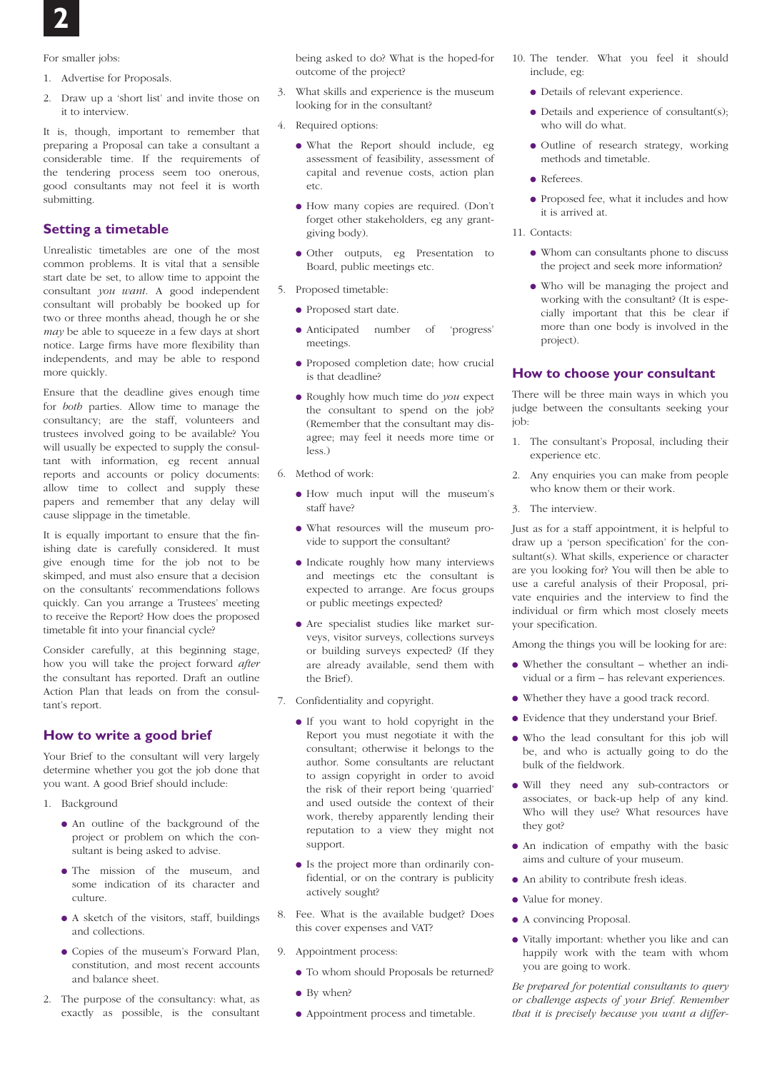For smaller jobs:

- 1. Advertise for Proposals.
- 2. Draw up a 'short list' and invite those on it to interview.

It is, though, important to remember that preparing a Proposal can take a consultant a considerable time. If the requirements of the tendering process seem too onerous, good consultants may not feel it is worth submitting.

# **Setting a timetable**

Unrealistic timetables are one of the most common problems. It is vital that a sensible start date be set, to allow time to appoint the consultant *you want*. A good independent consultant will probably be booked up for two or three months ahead, though he or she *may* be able to squeeze in a few days at short notice. Large firms have more flexibility than independents, and may be able to respond more quickly.

Ensure that the deadline gives enough time for *both* parties. Allow time to manage the consultancy; are the staff, volunteers and trustees involved going to be available? You will usually be expected to supply the consultant with information, eg recent annual reports and accounts or policy documents: allow time to collect and supply these papers and remember that any delay will cause slippage in the timetable.

It is equally important to ensure that the finishing date is carefully considered. It must give enough time for the job not to be skimped, and must also ensure that a decision on the consultants' recommendations follows quickly. Can you arrange a Trustees' meeting to receive the Report? How does the proposed timetable fit into your financial cycle?

Consider carefully, at this beginning stage, how you will take the project forward *after* the consultant has reported. Draft an outline Action Plan that leads on from the consultant's report.

### **How to write a good brief**

Your Brief to the consultant will very largely determine whether you got the job done that you want. A good Brief should include:

- 1. Background
	- An outline of the background of the project or problem on which the consultant is being asked to advise.
	- The mission of the museum, and some indication of its character and culture.
	- A sketch of the visitors, staff, buildings and collections.
	- Copies of the museum's Forward Plan, constitution, and most recent accounts and balance sheet.
- 2. The purpose of the consultancy: what, as exactly as possible, is the consultant

being asked to do? What is the hoped-for outcome of the project?

- 3. What skills and experience is the museum looking for in the consultant?
- 4. Required options:
	- What the Report should include, eg assessment of feasibility, assessment of capital and revenue costs, action plan etc.
	- How many copies are required. (Don't forget other stakeholders, eg any grantgiving body).
	- Other outputs, eg Presentation to Board, public meetings etc.
- 5. Proposed timetable:
	- Proposed start date.
	- Anticipated number of 'progress' meetings.
	- Proposed completion date; how crucial is that deadline?
	- Roughly how much time do *you* expect the consultant to spend on the job? (Remember that the consultant may disagree; may feel it needs more time or less.)
- 6. Method of work:
	- How much input will the museum's staff have?
	- What resources will the museum provide to support the consultant?
	- Indicate roughly how many interviews and meetings etc the consultant is expected to arrange. Are focus groups or public meetings expected?
	- Are specialist studies like market surveys, visitor surveys, collections surveys or building surveys expected? (If they are already available, send them with the Brief).
- 7. Confidentiality and copyright.
	- If you want to hold copyright in the Report you must negotiate it with the consultant; otherwise it belongs to the author. Some consultants are reluctant to assign copyright in order to avoid the risk of their report being 'quarried' and used outside the context of their work, thereby apparently lending their reputation to a view they might not support.
	- Is the project more than ordinarily confidential, or on the contrary is publicity actively sought?
- 8. Fee. What is the available budget? Does this cover expenses and VAT?
- 9. Appointment process:
	- To whom should Proposals be returned?
	- By when?
	- Appointment process and timetable.
- 10. The tender. What you feel it should include, eg:
	- Details of relevant experience.
	- Details and experience of consultant(s); who will do what.
	- Outline of research strategy, working methods and timetable.
	- Referees.
	- Proposed fee, what it includes and how it is arrived at.
- 11. Contacts:
	- Whom can consultants phone to discuss the project and seek more information?
	- Who will be managing the project and working with the consultant? (It is especially important that this be clear if more than one body is involved in the project).

#### **How to choose your consultant**

There will be three main ways in which you judge between the consultants seeking your job:

- 1. The consultant's Proposal, including their experience etc.
- 2. Any enquiries you can make from people who know them or their work.
- 3. The interview.

Just as for a staff appointment, it is helpful to draw up a 'person specification' for the consultant(s). What skills, experience or character are you looking for? You will then be able to use a careful analysis of their Proposal, private enquiries and the interview to find the individual or firm which most closely meets your specification.

Among the things you will be looking for are:

- Whether the consultant whether an individual or a firm – has relevant experiences.
- Whether they have a good track record.
- Evidence that they understand your Brief.
- Who the lead consultant for this job will be, and who is actually going to do the bulk of the fieldwork.
- Will they need any sub-contractors or associates, or back-up help of any kind. Who will they use? What resources have they got?
- An indication of empathy with the basic aims and culture of your museum.
- An ability to contribute fresh ideas.
- Value for money.
- A convincing Proposal.
- Vitally important: whether you like and can happily work with the team with whom you are going to work.

*Be prepared for potential consultants to query or challenge aspects of your Brief. Remember that it is precisely because you want a differ-*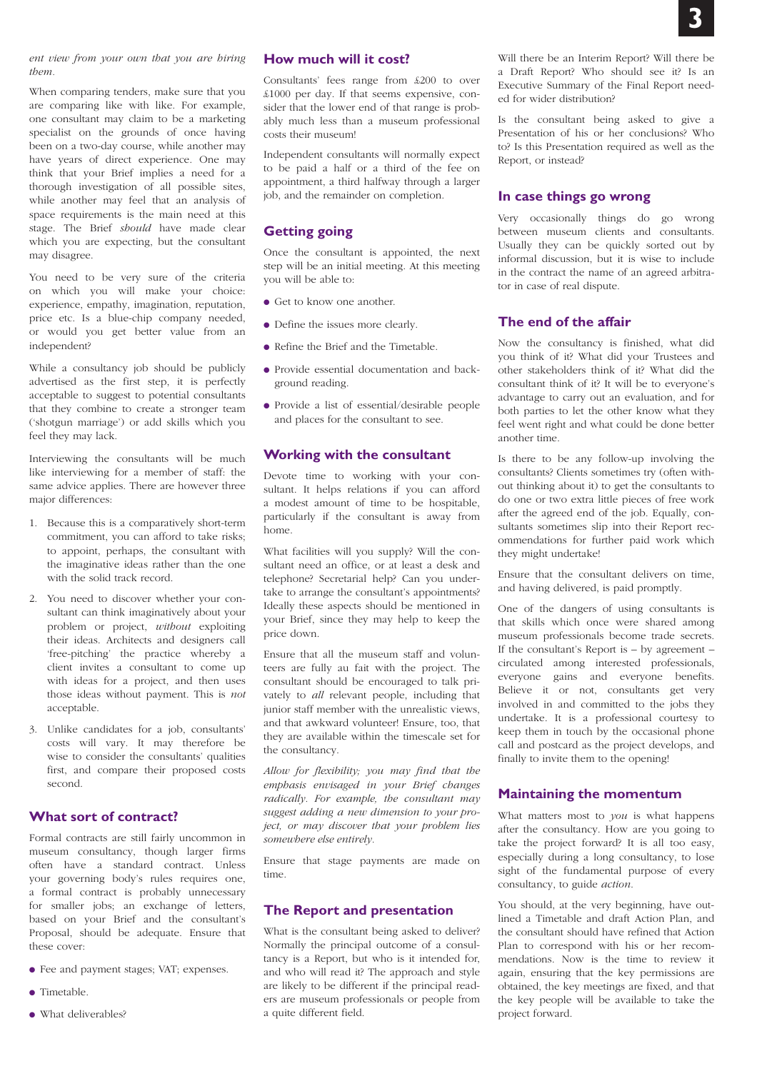#### *ent view from your own that you are hiring them.*

When comparing tenders, make sure that you are comparing like with like. For example, one consultant may claim to be a marketing specialist on the grounds of once having been on a two-day course, while another may have years of direct experience. One may think that your Brief implies a need for a thorough investigation of all possible sites, while another may feel that an analysis of space requirements is the main need at this stage. The Brief *should* have made clear which you are expecting, but the consultant may disagree.

You need to be very sure of the criteria on which you will make your choice: experience, empathy, imagination, reputation, price etc. Is a blue-chip company needed, or would you get better value from an independent?

While a consultancy job should be publicly advertised as the first step, it is perfectly acceptable to suggest to potential consultants that they combine to create a stronger team ('shotgun marriage') or add skills which you feel they may lack.

Interviewing the consultants will be much like interviewing for a member of staff: the same advice applies. There are however three major differences:

- 1. Because this is a comparatively short-term commitment, you can afford to take risks; to appoint, perhaps, the consultant with the imaginative ideas rather than the one with the solid track record.
- 2. You need to discover whether your consultant can think imaginatively about your problem or project, *without* exploiting their ideas. Architects and designers call 'free-pitching' the practice whereby a client invites a consultant to come up with ideas for a project, and then uses those ideas without payment. This is *not* acceptable.
- 3. Unlike candidates for a job, consultants' costs will vary. It may therefore be wise to consider the consultants' qualities first, and compare their proposed costs second.

# **What sort of contract?**

Formal contracts are still fairly uncommon in museum consultancy, though larger firms often have a standard contract. Unless your governing body's rules requires one, a formal contract is probably unnecessary for smaller jobs; an exchange of letters, based on your Brief and the consultant's Proposal, should be adequate. Ensure that these cover:

- Fee and payment stages; VAT; expenses.
- Timetable.
- What deliverables?

# **How much will it cost?**

Consultants' fees range from £200 to over £1000 per day. If that seems expensive, consider that the lower end of that range is probably much less than a museum professional costs their museum!

Independent consultants will normally expect to be paid a half or a third of the fee on appointment, a third halfway through a larger job, and the remainder on completion.

# **Getting going**

Once the consultant is appointed, the next step will be an initial meeting. At this meeting you will be able to:

- Get to know one another
- Define the issues more clearly.
- Refine the Brief and the Timetable.
- Provide essential documentation and background reading.
- Provide a list of essential/desirable people and places for the consultant to see.

# **Working with the consultant**

Devote time to working with your consultant. It helps relations if you can afford a modest amount of time to be hospitable, particularly if the consultant is away from home.

What facilities will you supply? Will the consultant need an office, or at least a desk and telephone? Secretarial help? Can you undertake to arrange the consultant's appointments? Ideally these aspects should be mentioned in your Brief, since they may help to keep the price down.

Ensure that all the museum staff and volunteers are fully au fait with the project. The consultant should be encouraged to talk privately to *all* relevant people, including that junior staff member with the unrealistic views, and that awkward volunteer! Ensure, too, that they are available within the timescale set for the consultancy.

*Allow for flexibility; you may find that the emphasis envisaged in your Brief changes radically. For example, the consultant may suggest adding a new dimension to your project, or may discover that your problem lies somewhere else entirely.*

Ensure that stage payments are made on time.

# **The Report and presentation**

What is the consultant being asked to deliver? Normally the principal outcome of a consultancy is a Report, but who is it intended for, and who will read it? The approach and style are likely to be different if the principal readers are museum professionals or people from a quite different field.

Will there be an Interim Report? Will there be a Draft Report? Who should see it? Is an Executive Summary of the Final Report needed for wider distribution?

Is the consultant being asked to give a Presentation of his or her conclusions? Who to? Is this Presentation required as well as the Report, or instead?

# **In case things go wrong**

Very occasionally things do go wrong between museum clients and consultants. Usually they can be quickly sorted out by informal discussion, but it is wise to include in the contract the name of an agreed arbitrator in case of real dispute.

# **The end of the affair**

Now the consultancy is finished, what did you think of it? What did your Trustees and other stakeholders think of it? What did the consultant think of it? It will be to everyone's advantage to carry out an evaluation, and for both parties to let the other know what they feel went right and what could be done better another time.

Is there to be any follow-up involving the consultants? Clients sometimes try (often without thinking about it) to get the consultants to do one or two extra little pieces of free work after the agreed end of the job. Equally, consultants sometimes slip into their Report recommendations for further paid work which they might undertake!

Ensure that the consultant delivers on time, and having delivered, is paid promptly.

One of the dangers of using consultants is that skills which once were shared among museum professionals become trade secrets. If the consultant's Report is  $-$  by agreement  $$ circulated among interested professionals, everyone gains and everyone benefits. Believe it or not, consultants get very involved in and committed to the jobs they undertake. It is a professional courtesy to keep them in touch by the occasional phone call and postcard as the project develops, and finally to invite them to the opening!

#### **Maintaining the momentum**

What matters most to *you* is what happens after the consultancy. How are you going to take the project forward? It is all too easy, especially during a long consultancy, to lose sight of the fundamental purpose of every consultancy, to guide *action*.

You should, at the very beginning, have outlined a Timetable and draft Action Plan, and the consultant should have refined that Action Plan to correspond with his or her recommendations. Now is the time to review it again, ensuring that the key permissions are obtained, the key meetings are fixed, and that the key people will be available to take the project forward.